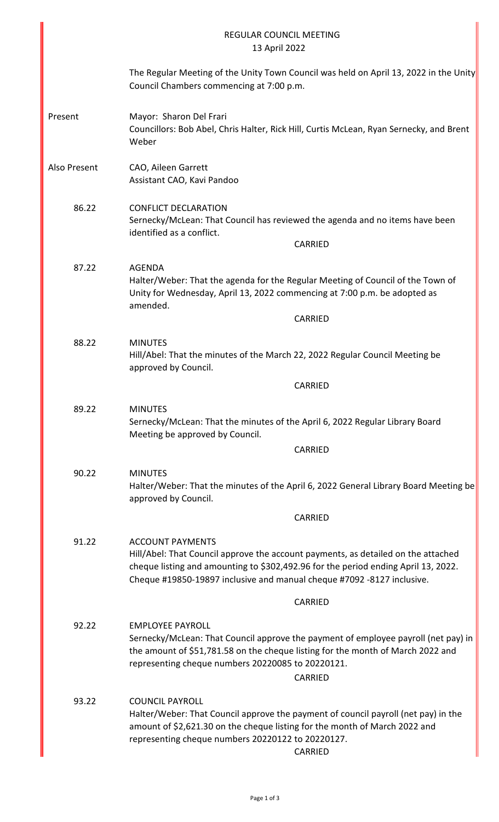|              | <b>REGULAR COUNCIL MEETING</b><br>13 April 2022                                                                                                                                                                                                                              |
|--------------|------------------------------------------------------------------------------------------------------------------------------------------------------------------------------------------------------------------------------------------------------------------------------|
|              | The Regular Meeting of the Unity Town Council was held on April 13, 2022 in the Unity<br>Council Chambers commencing at 7:00 p.m.                                                                                                                                            |
| Present      | Mayor: Sharon Del Frari<br>Councillors: Bob Abel, Chris Halter, Rick Hill, Curtis McLean, Ryan Sernecky, and Brent<br>Weber                                                                                                                                                  |
| Also Present | CAO, Aileen Garrett<br>Assistant CAO, Kavi Pandoo                                                                                                                                                                                                                            |
| 86.22        | <b>CONFLICT DECLARATION</b><br>Sernecky/McLean: That Council has reviewed the agenda and no items have been<br>identified as a conflict.<br><b>CARRIED</b>                                                                                                                   |
|              |                                                                                                                                                                                                                                                                              |
| 87.22        | <b>AGENDA</b><br>Halter/Weber: That the agenda for the Regular Meeting of Council of the Town of<br>Unity for Wednesday, April 13, 2022 commencing at 7:00 p.m. be adopted as<br>amended.                                                                                    |
|              | <b>CARRIED</b>                                                                                                                                                                                                                                                               |
|              |                                                                                                                                                                                                                                                                              |
| 88.22        | <b>MINUTES</b><br>Hill/Abel: That the minutes of the March 22, 2022 Regular Council Meeting be<br>approved by Council.                                                                                                                                                       |
|              | <b>CARRIED</b>                                                                                                                                                                                                                                                               |
| 89.22        | <b>MINUTES</b><br>Sernecky/McLean: That the minutes of the April 6, 2022 Regular Library Board<br>Meeting be approved by Council.                                                                                                                                            |
|              | <b>CARRIED</b>                                                                                                                                                                                                                                                               |
| 90.22        | <b>MINUTES</b><br>Halter/Weber: That the minutes of the April 6, 2022 General Library Board Meeting be<br>approved by Council.                                                                                                                                               |
|              | <b>CARRIED</b>                                                                                                                                                                                                                                                               |
| 91.22        | <b>ACCOUNT PAYMENTS</b><br>Hill/Abel: That Council approve the account payments, as detailed on the attached<br>cheque listing and amounting to \$302,492.96 for the period ending April 13, 2022.<br>Cheque #19850-19897 inclusive and manual cheque #7092 -8127 inclusive. |
|              | <b>CARRIED</b>                                                                                                                                                                                                                                                               |
| 92.22        | <b>EMPLOYEE PAYROLL</b><br>Sernecky/McLean: That Council approve the payment of employee payroll (net pay) in<br>the amount of \$51,781.58 on the cheque listing for the month of March 2022 and<br>representing cheque numbers 20220085 to 20220121.<br><b>CARRIED</b>      |
| 93.22        | <b>COUNCIL PAYROLL</b><br>Halter/Weber: That Council approve the payment of council payroll (net pay) in the<br>amount of \$2,621.30 on the cheque listing for the month of March 2022 and<br>representing cheque numbers 20220122 to 20220127.<br><b>CARRIED</b>            |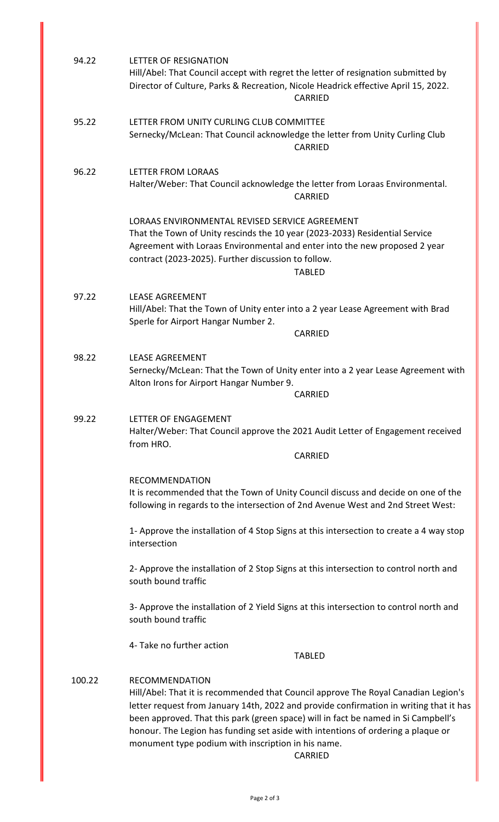| 94.22  | LETTER OF RESIGNATION<br>Hill/Abel: That Council accept with regret the letter of resignation submitted by<br>Director of Culture, Parks & Recreation, Nicole Headrick effective April 15, 2022.<br><b>CARRIED</b>                                                                                                                                                                                                                                      |
|--------|---------------------------------------------------------------------------------------------------------------------------------------------------------------------------------------------------------------------------------------------------------------------------------------------------------------------------------------------------------------------------------------------------------------------------------------------------------|
| 95.22  | LETTER FROM UNITY CURLING CLUB COMMITTEE<br>Sernecky/McLean: That Council acknowledge the letter from Unity Curling Club<br><b>CARRIED</b>                                                                                                                                                                                                                                                                                                              |
| 96.22  | LETTER FROM LORAAS<br>Halter/Weber: That Council acknowledge the letter from Loraas Environmental.<br><b>CARRIED</b>                                                                                                                                                                                                                                                                                                                                    |
|        | LORAAS ENVIRONMENTAL REVISED SERVICE AGREEMENT<br>That the Town of Unity rescinds the 10 year (2023-2033) Residential Service<br>Agreement with Loraas Environmental and enter into the new proposed 2 year<br>contract (2023-2025). Further discussion to follow.<br><b>TABLED</b>                                                                                                                                                                     |
| 97.22  | <b>LEASE AGREEMENT</b><br>Hill/Abel: That the Town of Unity enter into a 2 year Lease Agreement with Brad<br>Sperle for Airport Hangar Number 2.<br><b>CARRIED</b>                                                                                                                                                                                                                                                                                      |
| 98.22  | <b>LEASE AGREEMENT</b><br>Sernecky/McLean: That the Town of Unity enter into a 2 year Lease Agreement with<br>Alton Irons for Airport Hangar Number 9.<br><b>CARRIED</b>                                                                                                                                                                                                                                                                                |
| 99.22  | LETTER OF ENGAGEMENT<br>Halter/Weber: That Council approve the 2021 Audit Letter of Engagement received<br>from HRO.<br><b>CARRIED</b>                                                                                                                                                                                                                                                                                                                  |
|        | <b>RECOMMENDATION</b><br>It is recommended that the Town of Unity Council discuss and decide on one of the<br>following in regards to the intersection of 2nd Avenue West and 2nd Street West:                                                                                                                                                                                                                                                          |
|        | 1- Approve the installation of 4 Stop Signs at this intersection to create a 4 way stop<br>intersection                                                                                                                                                                                                                                                                                                                                                 |
|        | 2- Approve the installation of 2 Stop Signs at this intersection to control north and<br>south bound traffic                                                                                                                                                                                                                                                                                                                                            |
|        | 3- Approve the installation of 2 Yield Signs at this intersection to control north and<br>south bound traffic                                                                                                                                                                                                                                                                                                                                           |
|        | 4- Take no further action<br><b>TABLED</b>                                                                                                                                                                                                                                                                                                                                                                                                              |
| 100.22 | <b>RECOMMENDATION</b><br>Hill/Abel: That it is recommended that Council approve The Royal Canadian Legion's<br>letter request from January 14th, 2022 and provide confirmation in writing that it has<br>been approved. That this park (green space) will in fact be named in Si Campbell's<br>honour. The Legion has funding set aside with intentions of ordering a plaque or<br>monument type podium with inscription in his name.<br><b>CARRIED</b> |